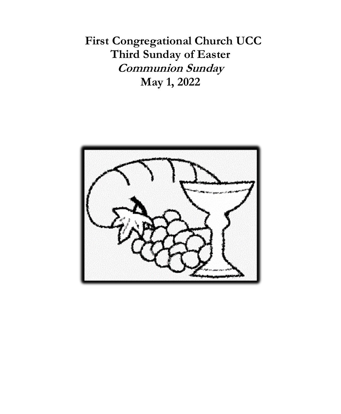**First Congregational Church UCC Third Sunday of Easter Communion Sunday May 1, 2022**

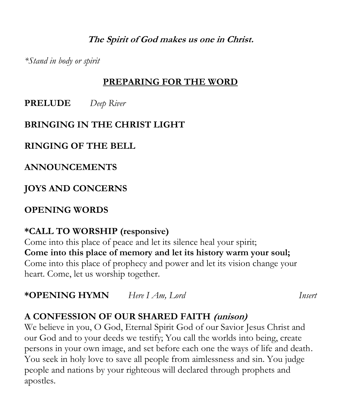**The Spirit of God makes us one in Christ.**

*\*Stand in body or spirit*

#### **PREPARING FOR THE WORD**

**PRELUDE** *Deep River*

### **BRINGING IN THE CHRIST LIGHT**

# **RINGING OF THE BELL**

**ANNOUNCEMENTS**

**JOYS AND CONCERNS**

# **OPENING WORDS**

# **\*CALL TO WORSHIP (responsive)**

Come into this place of peace and let its silence heal your spirit; **Come into this place of memory and let its history warm your soul;** Come into this place of prophecy and power and let its vision change your heart. Come, let us worship together.

**\*OPENING HYMN** *Here I Am, Lord Insert*

# **A CONFESSION OF OUR SHARED FAITH (unison)**

We believe in you, O God, Eternal Spirit God of our Savior Jesus Christ and our God and to your deeds we testify; You call the worlds into being, create persons in your own image, and set before each one the ways of life and death. You seek in holy love to save all people from aimlessness and sin. You judge people and nations by your righteous will declared through prophets and apostles.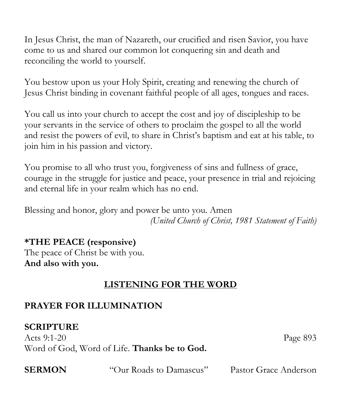In Jesus Christ, the man of Nazareth, our crucified and risen Savior, you have come to us and shared our common lot conquering sin and death and reconciling the world to yourself.

You bestow upon us your Holy Spirit, creating and renewing the church of Jesus Christ binding in covenant faithful people of all ages, tongues and races.

You call us into your church to accept the cost and joy of discipleship to be your servants in the service of others to proclaim the gospel to all the world and resist the powers of evil, to share in Christ's baptism and eat at his table, to join him in his passion and victory.

You promise to all who trust you, forgiveness of sins and fullness of grace, courage in the struggle for justice and peace, your presence in trial and rejoicing and eternal life in your realm which has no end.

Blessing and honor, glory and power be unto you. Amen *(United Church of Christ, 1981 Statement of Faith)*

# **\*THE PEACE (responsive)**

The peace of Christ be with you. **And also with you.**

# **LISTENING FOR THE WORD**

### **PRAYER FOR ILLUMINATION**

## **SCRIPTURE**

Acts 9:1-20 Page 893 Word of God, Word of Life. **Thanks be to God.**

**SERMON** "Our Roads to Damascus" Pastor Grace Anderson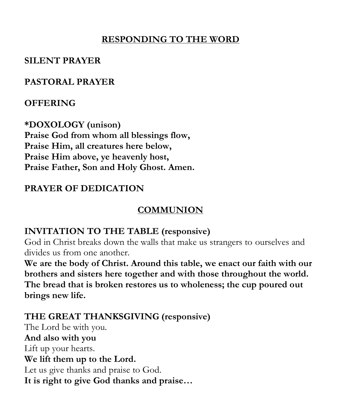### **RESPONDING TO THE WORD**

#### **SILENT PRAYER**

#### **PASTORAL PRAYER**

### **OFFERING**

**\*DOXOLOGY (unison) Praise God from whom all blessings flow, Praise Him, all creatures here below, Praise Him above, ye heavenly host, Praise Father, Son and Holy Ghost. Amen.**

## **PRAYER OF DEDICATION**

## **COMMUNION**

### **INVITATION TO THE TABLE (responsive)**

God in Christ breaks down the walls that make us strangers to ourselves and divides us from one another.

**We are the body of Christ. Around this table, we enact our faith with our brothers and sisters here together and with those throughout the world. The bread that is broken restores us to wholeness; the cup poured out brings new life.**

## **THE GREAT THANKSGIVING (responsive)**

The Lord be with you. **And also with you** Lift up your hearts. **We lift them up to the Lord.** Let us give thanks and praise to God. **It is right to give God thanks and praise…**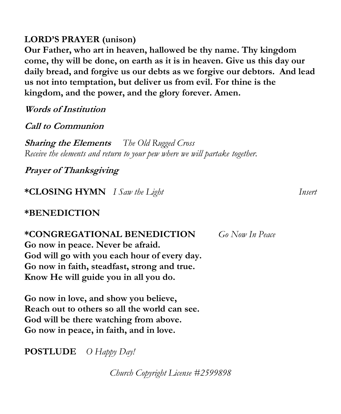#### **LORD'S PRAYER (unison)**

**Our Father, who art in heaven, hallowed be thy name. Thy kingdom come, thy will be done, on earth as it is in heaven. Give us this day our daily bread, and forgive us our debts as we forgive our debtors. And lead us not into temptation, but deliver us from evil. For thine is the kingdom, and the power, and the glory forever. Amen.** 

**Words of Institution**

**Call to Communion**

**Sharing the Elements** *The Old Rugged Cross Receive the elements and return to your pew where we will partake together.*

**Prayer of Thanksgiving** 

**\*CLOSING HYMN** *I Saw the Light Insert*

#### **\*BENEDICTION**

**\*CONGREGATIONAL BENEDICTION** *Go Now In Peace* **Go now in peace. Never be afraid. God will go with you each hour of every day. Go now in faith, steadfast, strong and true. Know He will guide you in all you do.**

**Go now in love, and show you believe, Reach out to others so all the world can see. God will be there watching from above. Go now in peace, in faith, and in love.**

**POSTLUDE** *O Happy Day!*

*Church Copyright License #2599898*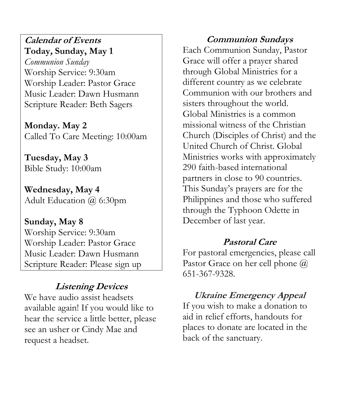#### **Calendar of Events Today, Sunday, May 1**

*Communion Sunday* Worship Service: 9:30am Worship Leader: Pastor Grace Music Leader: Dawn Husmann Scripture Reader: Beth Sagers

**Monday. May 2** Called To Care Meeting: 10:00am

**Tuesday, May 3** Bible Study: 10:00am

**Wednesday, May 4** Adult Education @ 6:30pm

**Sunday, May 8** Worship Service: 9:30am Worship Leader: Pastor Grace Music Leader: Dawn Husmann Scripture Reader: Please sign up

## **Listening Devices**

We have audio assist headsets available again! If you would like to hear the service a little better, please see an usher or Cindy Mae and request a headset.

**Communion Sundays** Each Communion Sunday, Pastor Grace will offer a prayer shared through Global Ministries for a different country as we celebrate Communion with our brothers and sisters throughout the world. Global Ministries is a common missional witness of the Christian Church (Disciples of Christ) and the United Church of Christ. Global Ministries works with approximately 290 faith-based international partners in close to 90 countries. This Sunday's prayers are for the Philippines and those who suffered through the Typhoon Odette in December of last year.

#### **Pastoral Care**

For pastoral emergencies, please call Pastor Grace on her cell phone  $\omega$ 651-367-9328.

## **Ukraine Emergency Appeal**

If you wish to make a donation to aid in relief efforts, handouts for places to donate are located in the back of the sanctuary.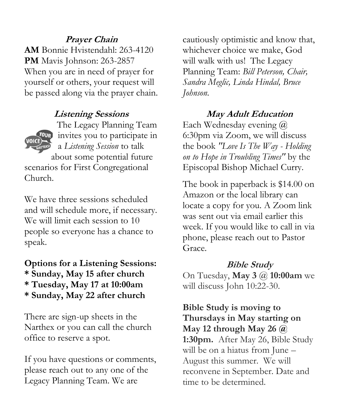#### **Prayer Chain**

**AM** Bonnie Hvistendahl: 263-4120 **PM** Mavis Johnson: 263-2857 When you are in need of prayer for yourself or others, your request will be passed along via the prayer chain.

#### **Listening Sessions**



The Legacy Planning Team *OUR* invites you to participate in a *Listening Session* to talk about some potential future

scenarios for First Congregational Church.

We have three sessions scheduled and will schedule more, if necessary. We will limit each session to 10 people so everyone has a chance to speak.

## **Options for a Listening Sessions: \* Sunday, May 15 after church \* Tuesday, May 17 at 10:00am \* Sunday, May 22 after church**

There are sign-up sheets in the Narthex or you can call the church office to reserve a spot.

If you have questions or comments, please reach out to any one of the Legacy Planning Team. We are

cautiously optimistic and know that, whichever choice we make, God will walk with us! The Legacy Planning Team: *Bill Peterson, Chair, Sandra Meglic, Linda Hindal, Bruce Johnson.*

#### **May Adult Education**

Each Wednesday evening @ 6:30pm via Zoom, we will discuss the book *"Love Is The Way - Holding on to Hope in Troubling Times"* by the Episcopal Bishop Michael Curry.

The book in paperback is \$14.00 on Amazon or the local library can locate a copy for you. A Zoom link was sent out via email earlier this week. If you would like to call in via phone, please reach out to Pastor Grace.

#### **Bible Study**

On Tuesday, **May 3** @ **10:00am** we will discuss John 10:22-30.

**Bible Study is moving to Thursdays in May starting on May 12 through May 26 @ 1:30pm.** After May 26, Bible Study will be on a hiatus from June – August this summer. We will reconvene in September. Date and time to be determined.